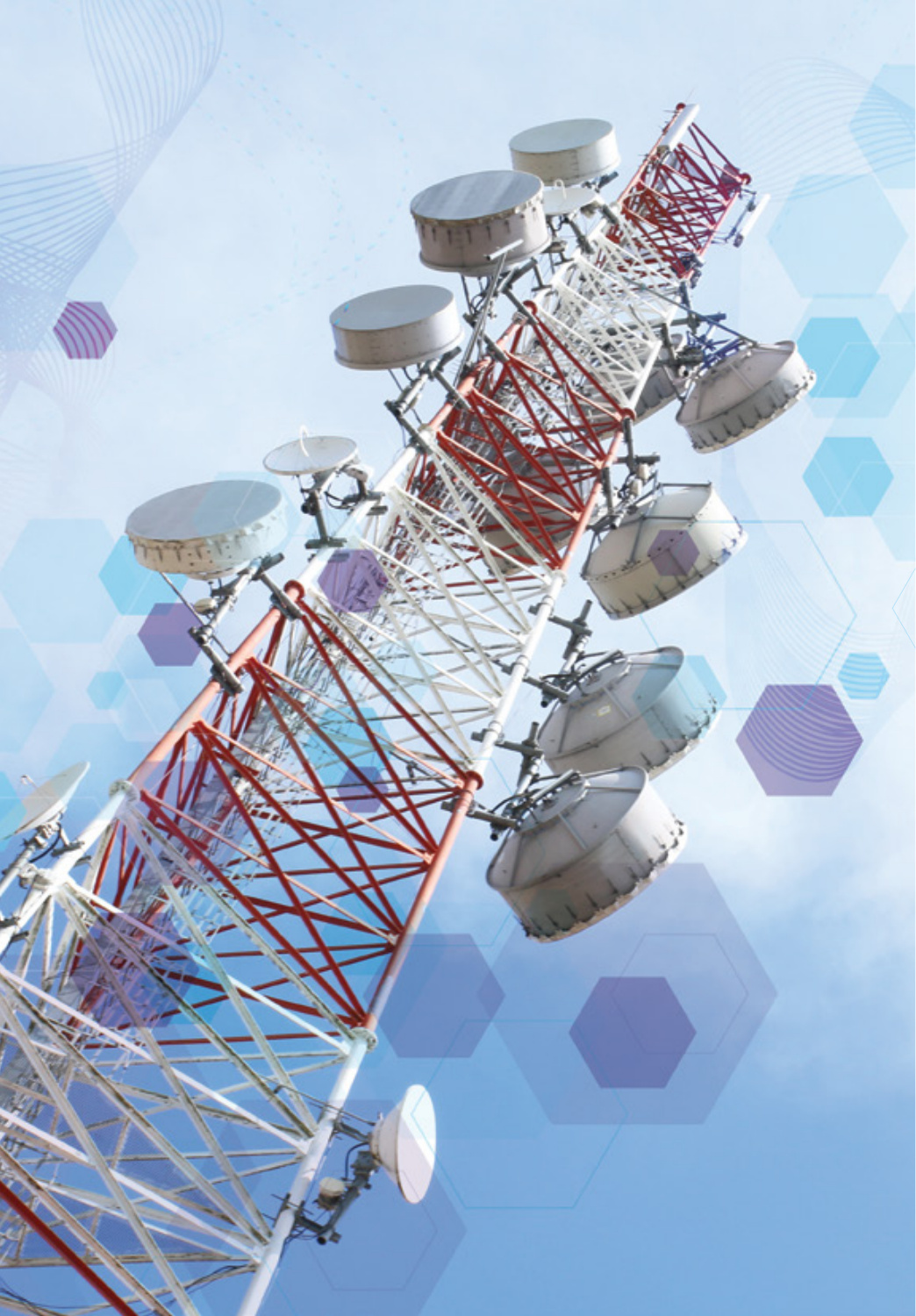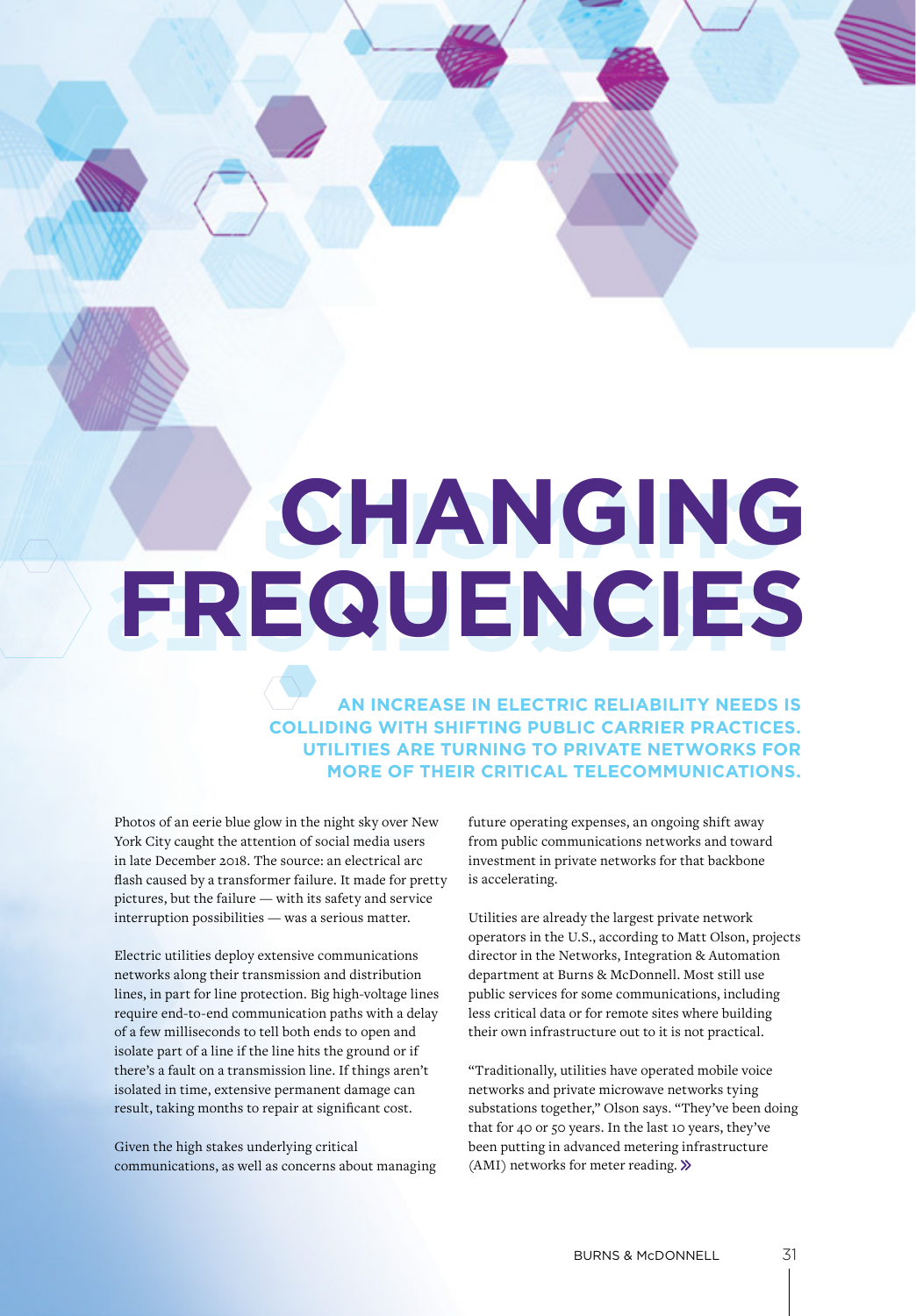# **CHANGING FREQUENCIES**

**AN INCREASE IN ELECTRIC RELIABILITY NEEDS IS COLLIDING WITH SHIFTING PUBLIC CARRIER PRACTICES. UTILITIES ARE TURNING TO PRIVATE NETWORKS FOR MORE OF THEIR CRITICAL TELECOMMUNICATIONS.**

Photos of an eerie blue glow in the night sky over New York City caught the attention of social media users in late December 2018. The source: an electrical arc flash caused by a transformer failure. It made for pretty pictures, but the failure — with its safety and service interruption possibilities — was a serious matter.

Electric utilities deploy extensive communications networks along their transmission and distribution lines, in part for line protection. Big high-voltage lines require end-to-end communication paths with a delay of a few milliseconds to tell both ends to open and isolate part of a line if the line hits the ground or if there's a fault on a transmission line. If things aren't isolated in time, extensive permanent damage can result, taking months to repair at significant cost.

Given the high stakes underlying critical communications, as well as concerns about managing future operating expenses, an ongoing shift away from public communications networks and toward investment in private networks for that backbone is accelerating.

Utilities are already the largest private network operators in the U.S., according to Matt Olson, projects director in the Networks, Integration & Automation department at Burns & McDonnell. Most still use public services for some communications, including less critical data or for remote sites where building their own infrastructure out to it is not practical.

"Traditionally, utilities have operated mobile voice networks and private microwave networks tying substations together," Olson says. "They've been doing that for 40 or 50 years. In the last 10 years, they've been putting in advanced metering infrastructure (AMI) networks for meter reading.  $\gg$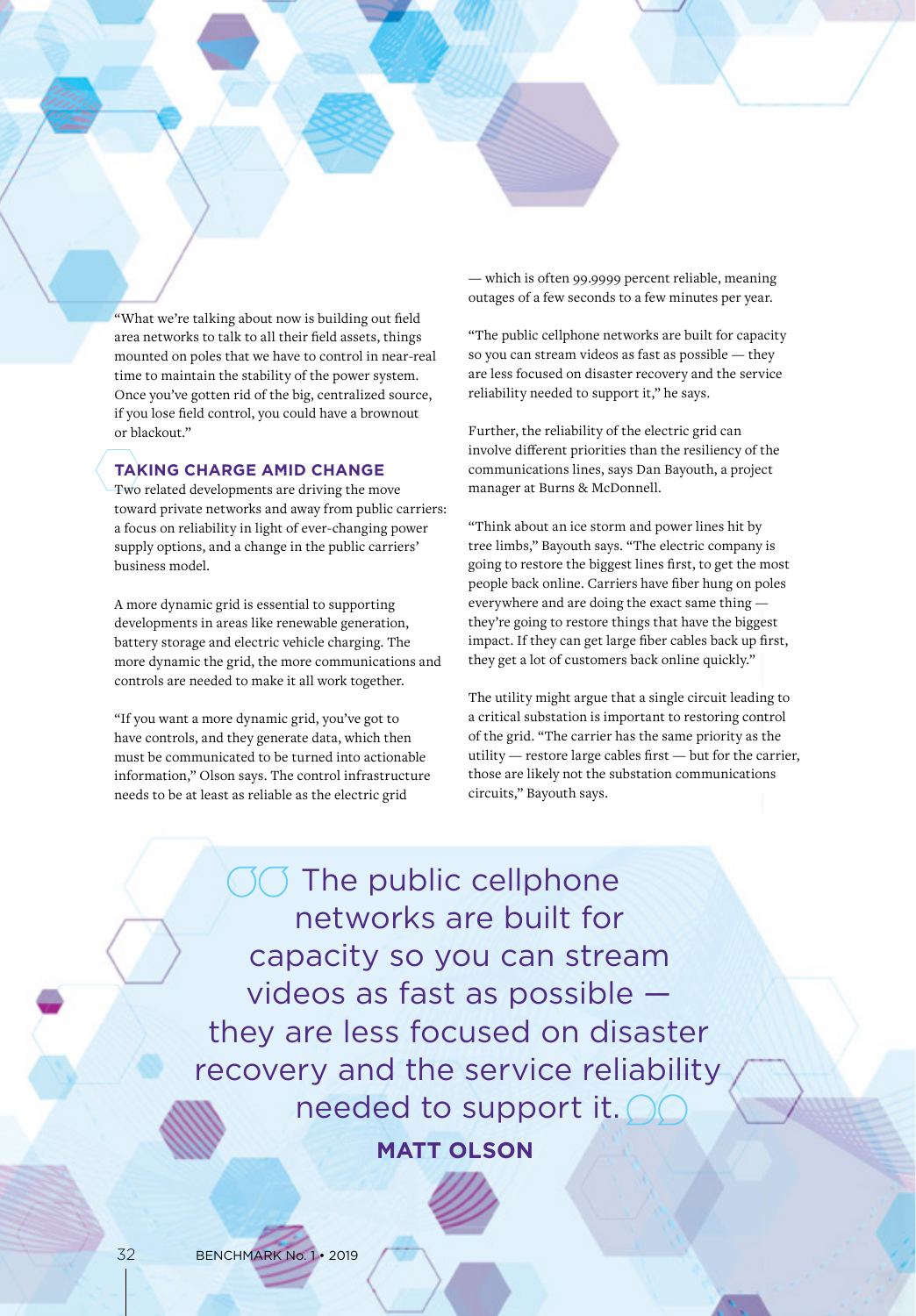"What we're talking about now is building out field area networks to talk to all their field assets, things mounted on poles that we have to control in near-real time to maintain the stability of the power system. Once you've gotten rid of the big, centralized source, if you lose field control, you could have a brownout or blackout."

#### **TAKING CHARGE AMID CHANGE**

Two related developments are driving the move toward private networks and away from public carriers: a focus on reliability in light of ever-changing power supply options, and a change in the public carriers' business model.

A more dynamic grid is essential to supporting developments in areas like renewable generation, battery storage and electric vehicle charging. The more dynamic the grid, the more communications and controls are needed to make it all work together.

"If you want a more dynamic grid, you've got to have controls, and they generate data, which then must be communicated to be turned into actionable information," Olson says. The control infrastructure needs to be at least as reliable as the electric grid

— which is often 99.9999 percent reliable, meaning outages of a few seconds to a few minutes per year.

"The public cellphone networks are built for capacity so you can stream videos as fast as possible — they are less focused on disaster recovery and the service reliability needed to support it," he says.

Further, the reliability of the electric grid can involve different priorities than the resiliency of the communications lines, says Dan Bayouth, a project manager at Burns & McDonnell.

"Think about an ice storm and power lines hit by tree limbs," Bayouth says. "The electric company is going to restore the biggest lines first, to get the most people back online. Carriers have fiber hung on poles everywhere and are doing the exact same thing they're going to restore things that have the biggest impact. If they can get large fiber cables back up first, they get a lot of customers back online quickly."

The utility might argue that a single circuit leading to a critical substation is important to restoring control of the grid. "The carrier has the same priority as the utility — restore large cables first — but for the carrier, those are likely not the substation communications circuits," Bayouth says.

 $\bigcirc$  The public cellphone networks are built for capacity so you can stream videos as fast as possible they are less focused on disaster recovery and the service reliability needed to support it. OC

### **MATT OLSON**

32 BENCHMARK No. 1 • 2019 **BURNS & McDONNELL 34 BURNS & MCDONNELL 3**3 BURNS & MCDONNELL 34 BURNS & MCDONNELL 33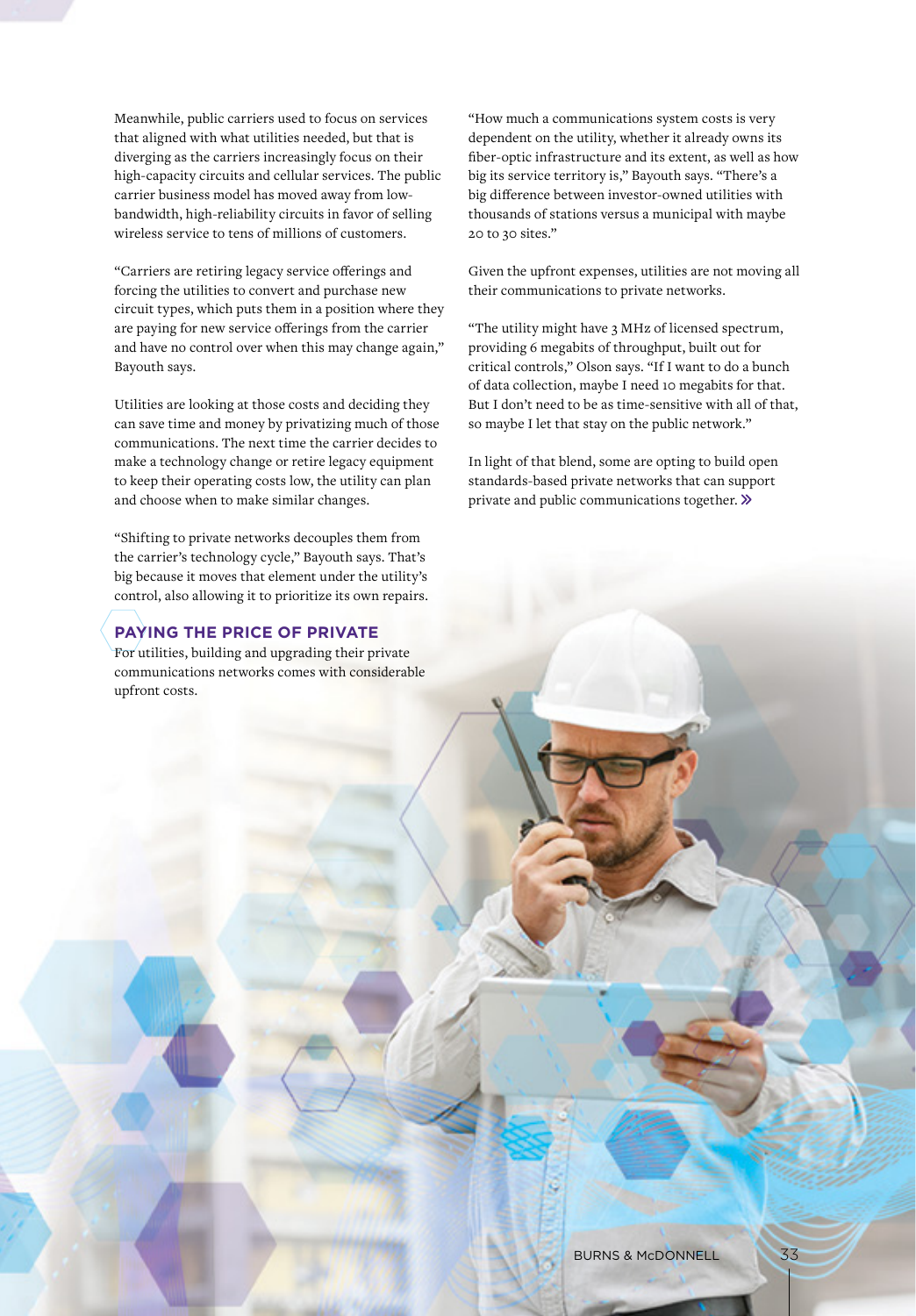Meanwhile, public carriers used to focus on services that aligned with what utilities needed, but that is diverging as the carriers increasingly focus on their high-capacity circuits and cellular services. The public carrier business model has moved away from lowbandwidth, high-reliability circuits in favor of selling wireless service to tens of millions of customers.

"Carriers are retiring legacy service offerings and forcing the utilities to convert and purchase new circuit types, which puts them in a position where they are paying for new service offerings from the carrier and have no control over when this may change again," Bayouth says.

Utilities are looking at those costs and deciding they can save time and money by privatizing much of those communications. The next time the carrier decides to make a technology change or retire legacy equipment to keep their operating costs low, the utility can plan and choose when to make similar changes.

"Shifting to private networks decouples them from the carrier's technology cycle," Bayouth says. That's big because it moves that element under the utility's control, also allowing it to prioritize its own repairs.

#### **PAYING THE PRICE OF PRIVATE**

For utilities, building and upgrading their private communications networks comes with considerable upfront costs.

"How much a communications system costs is very dependent on the utility, whether it already owns its fiber-optic infrastructure and its extent, as well as how big its service territory is," Bayouth says. "There's a big difference between investor-owned utilities with thousands of stations versus a municipal with maybe 20 to 30 sites."

Given the upfront expenses, utilities are not moving all their communications to private networks.

"The utility might have 3 MHz of licensed spectrum, providing 6 megabits of throughput, built out for critical controls," Olson says. "If I want to do a bunch of data collection, maybe I need 10 megabits for that. But I don't need to be as time-sensitive with all of that, so maybe I let that stay on the public network."

In light of that blend, some are opting to build open standards-based private networks that can support private and public communications together.